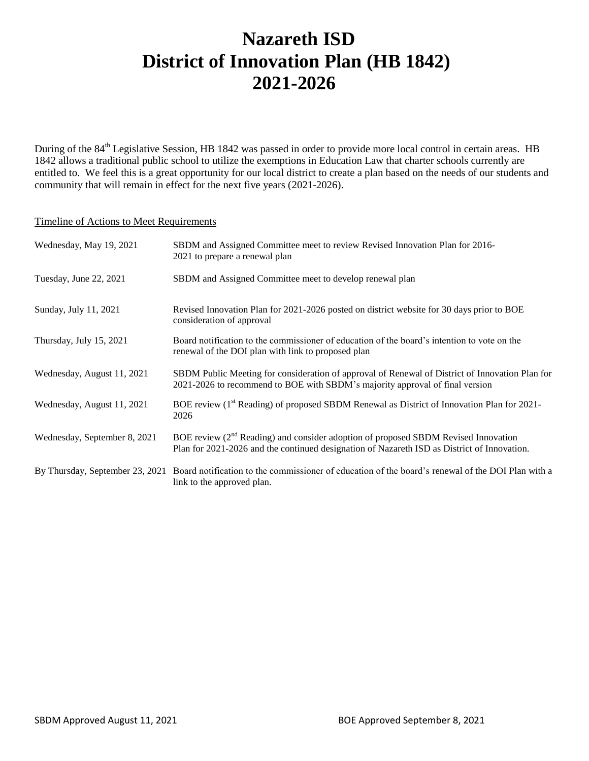# **Nazareth ISD District of Innovation Plan (HB 1842) 2021-2026**

During of the 84<sup>th</sup> Legislative Session, HB 1842 was passed in order to provide more local control in certain areas. HB 1842 allows a traditional public school to utilize the exemptions in Education Law that charter schools currently are entitled to. We feel this is a great opportunity for our local district to create a plan based on the needs of our students and community that will remain in effect for the next five years (2021-2026).

#### Timeline of Actions to Meet Requirements

| Wednesday, May 19, 2021         | SBDM and Assigned Committee meet to review Revised Innovation Plan for 2016-<br>2021 to prepare a renewal plan                                                                                |
|---------------------------------|-----------------------------------------------------------------------------------------------------------------------------------------------------------------------------------------------|
| Tuesday, June 22, 2021          | SBDM and Assigned Committee meet to develop renewal plan                                                                                                                                      |
| Sunday, July 11, 2021           | Revised Innovation Plan for 2021-2026 posted on district website for 30 days prior to BOE<br>consideration of approval                                                                        |
| Thursday, July 15, 2021         | Board notification to the commissioner of education of the board's intention to vote on the<br>renewal of the DOI plan with link to proposed plan                                             |
| Wednesday, August 11, 2021      | SBDM Public Meeting for consideration of approval of Renewal of District of Innovation Plan for<br>2021-2026 to recommend to BOE with SBDM's majority approval of final version               |
| Wednesday, August 11, 2021      | BOE review (1 <sup>st</sup> Reading) of proposed SBDM Renewal as District of Innovation Plan for 2021-<br>2026                                                                                |
| Wednesday, September 8, 2021    | BOE review (2 <sup>nd</sup> Reading) and consider adoption of proposed SBDM Revised Innovation<br>Plan for 2021-2026 and the continued designation of Nazareth ISD as District of Innovation. |
| By Thursday, September 23, 2021 | Board notification to the commissioner of education of the board's renewal of the DOI Plan with a<br>link to the approved plan.                                                               |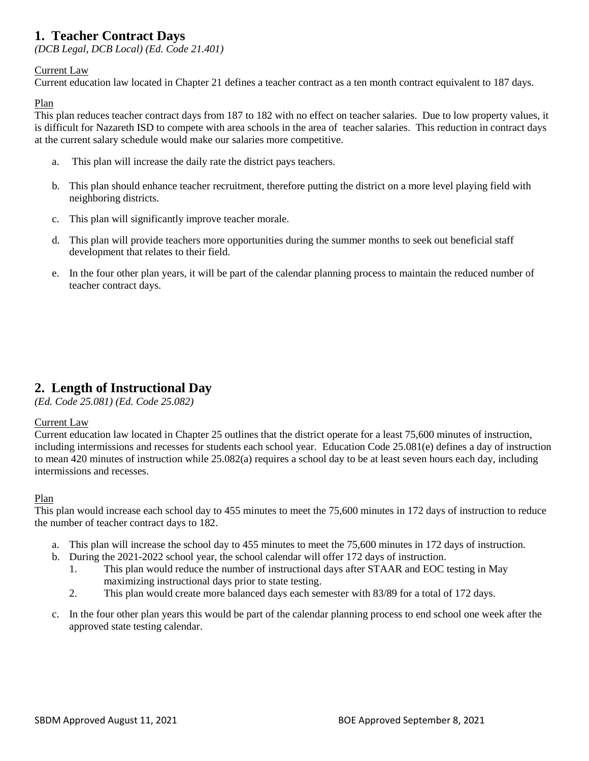# **1. Teacher Contract Days**

*(DCB Legal, DCB Local) (Ed. Code 21.401)*

### Current Law

Current education law located in Chapter 21 defines a teacher contract as a ten month contract equivalent to 187 days.

### Plan

This plan reduces teacher contract days from 187 to 182 with no effect on teacher salaries. Due to low property values, it is difficult for Nazareth ISD to compete with area schools in the area of teacher salaries. This reduction in contract days at the current salary schedule would make our salaries more competitive.

- a. This plan will increase the daily rate the district pays teachers.
- b. This plan should enhance teacher recruitment, therefore putting the district on a more level playing field with neighboring districts.
- c. This plan will significantly improve teacher morale.
- d. This plan will provide teachers more opportunities during the summer months to seek out beneficial staff development that relates to their field.
- e. In the four other plan years, it will be part of the calendar planning process to maintain the reduced number of teacher contract days.

# **2. Length of Instructional Day**

*(Ed. Code 25.081) (Ed. Code 25.082)*

### Current Law

Current education law located in Chapter 25 outlines that the district operate for a least 75,600 minutes of instruction, including intermissions and recesses for students each school year. Education Code 25.081(e) defines a day of instruction to mean 420 minutes of instruction while 25.082(a) requires a school day to be at least seven hours each day, including intermissions and recesses.

### Plan

This plan would increase each school day to 455 minutes to meet the 75,600 minutes in 172 days of instruction to reduce the number of teacher contract days to 182.

- a. This plan will increase the school day to 455 minutes to meet the 75,600 minutes in 172 days of instruction.
- b. During the 2021-2022 school year, the school calendar will offer 172 days of instruction.
	- 1. This plan would reduce the number of instructional days after STAAR and EOC testing in May maximizing instructional days prior to state testing.
	- 2. This plan would create more balanced days each semester with 83/89 for a total of 172 days.
- c. In the four other plan years this would be part of the calendar planning process to end school one week after the approved state testing calendar.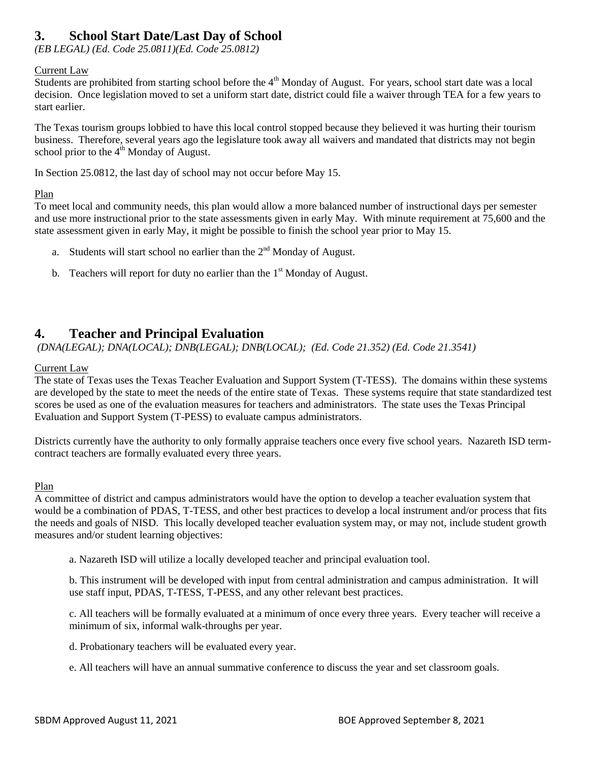# **3. School Start Date/Last Day of School**

*(EB LEGAL) (Ed. Code 25.0811)(Ed. Code 25.0812)*

### Current Law

Students are prohibited from starting school before the 4<sup>th</sup> Monday of August. For years, school start date was a local decision. Once legislation moved to set a uniform start date, district could file a waiver through TEA for a few years to start earlier.

The Texas tourism groups lobbied to have this local control stopped because they believed it was hurting their tourism business. Therefore, several years ago the legislature took away all waivers and mandated that districts may not begin school prior to the  $4<sup>th</sup>$  Monday of August.

In Section 25.0812, the last day of school may not occur before May 15.

### Plan

To meet local and community needs, this plan would allow a more balanced number of instructional days per semester and use more instructional prior to the state assessments given in early May. With minute requirement at 75,600 and the state assessment given in early May, it might be possible to finish the school year prior to May 15.

- a. Students will start school no earlier than the  $2<sup>nd</sup>$  Monday of August.
- b. Teachers will report for duty no earlier than the  $1<sup>st</sup>$  Monday of August.

### **4. Teacher and Principal Evaluation**

*(DNA(LEGAL); DNA(LOCAL); DNB(LEGAL); DNB(LOCAL); (Ed. Code 21.352) (Ed. Code 21.3541)*

#### Current Law

The state of Texas uses the Texas Teacher Evaluation and Support System (T-TESS). The domains within these systems are developed by the state to meet the needs of the entire state of Texas. These systems require that state standardized test scores be used as one of the evaluation measures for teachers and administrators. The state uses the Texas Principal Evaluation and Support System (T-PESS) to evaluate campus administrators.

Districts currently have the authority to only formally appraise teachers once every five school years. Nazareth ISD termcontract teachers are formally evaluated every three years.

### Plan

A committee of district and campus administrators would have the option to develop a teacher evaluation system that would be a combination of PDAS, T-TESS, and other best practices to develop a local instrument and/or process that fits the needs and goals of NISD. This locally developed teacher evaluation system may, or may not, include student growth measures and/or student learning objectives:

a. Nazareth ISD will utilize a locally developed teacher and principal evaluation tool.

b. This instrument will be developed with input from central administration and campus administration. It will use staff input, PDAS, T-TESS, T-PESS, and any other relevant best practices.

c. All teachers will be formally evaluated at a minimum of once every three years. Every teacher will receive a minimum of six, informal walk-throughs per year.

d. Probationary teachers will be evaluated every year.

e. All teachers will have an annual summative conference to discuss the year and set classroom goals.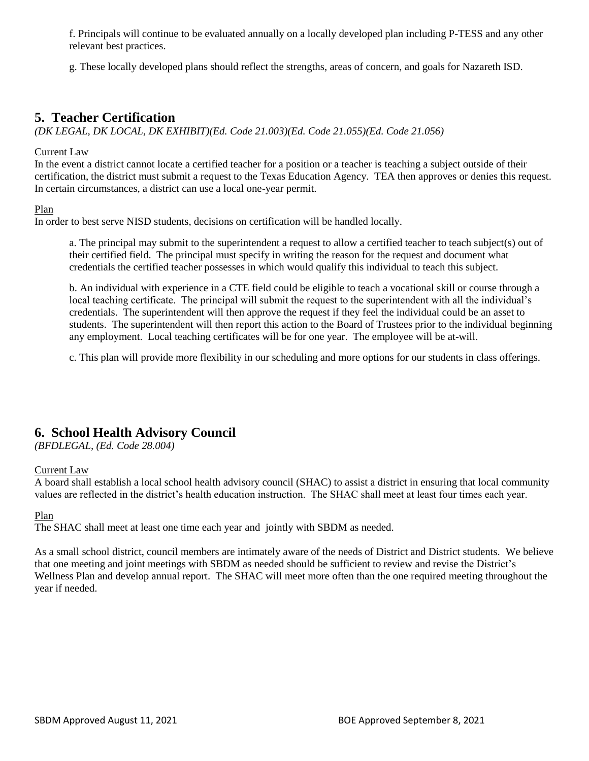f. Principals will continue to be evaluated annually on a locally developed plan including P-TESS and any other relevant best practices.

g. These locally developed plans should reflect the strengths, areas of concern, and goals for Nazareth ISD.

### **5. Teacher Certification**

*(DK LEGAL, DK LOCAL, DK EXHIBIT)(Ed. Code 21.003)(Ed. Code 21.055)(Ed. Code 21.056)*

#### Current Law

In the event a district cannot locate a certified teacher for a position or a teacher is teaching a subject outside of their certification, the district must submit a request to the Texas Education Agency. TEA then approves or denies this request. In certain circumstances, a district can use a local one-year permit.

#### Plan

In order to best serve NISD students, decisions on certification will be handled locally.

a. The principal may submit to the superintendent a request to allow a certified teacher to teach subject(s) out of their certified field. The principal must specify in writing the reason for the request and document what credentials the certified teacher possesses in which would qualify this individual to teach this subject.

b. An individual with experience in a CTE field could be eligible to teach a vocational skill or course through a local teaching certificate. The principal will submit the request to the superintendent with all the individual's credentials. The superintendent will then approve the request if they feel the individual could be an asset to students. The superintendent will then report this action to the Board of Trustees prior to the individual beginning any employment. Local teaching certificates will be for one year. The employee will be at-will.

c. This plan will provide more flexibility in our scheduling and more options for our students in class offerings.

### **6. School Health Advisory Council**

*(BFDLEGAL, (Ed. Code 28.004)*

### Current Law

A board shall establish a local school health advisory council (SHAC) to assist a district in ensuring that local community values are reflected in the district's health education instruction. The SHAC shall meet at least four times each year.

### Plan

The SHAC shall meet at least one time each year and jointly with SBDM as needed.

As a small school district, council members are intimately aware of the needs of District and District students. We believe that one meeting and joint meetings with SBDM as needed should be sufficient to review and revise the District's Wellness Plan and develop annual report. The SHAC will meet more often than the one required meeting throughout the year if needed.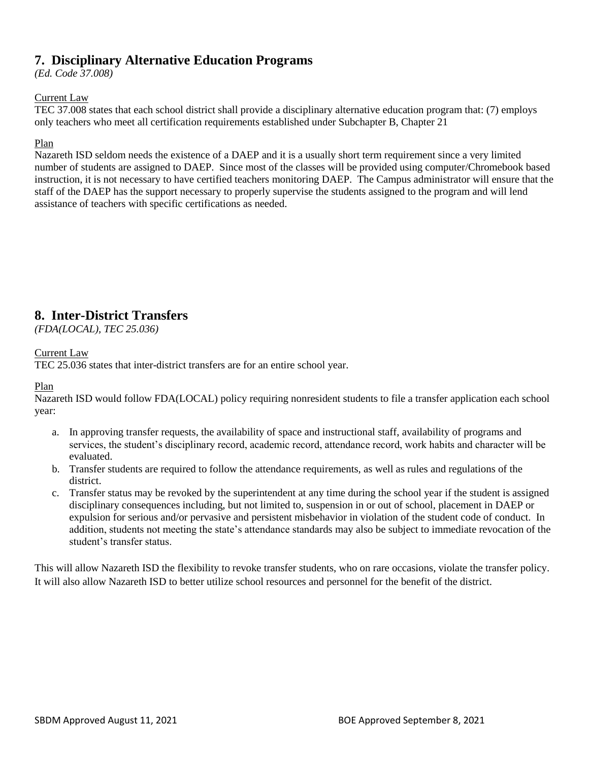# **7. Disciplinary Alternative Education Programs**

*(Ed. Code 37.008)*

### Current Law

TEC 37.008 states that each school district shall provide a disciplinary alternative education program that: (7) employs only teachers who meet all certification requirements established under Subchapter B, Chapter 21

### Plan

Nazareth ISD seldom needs the existence of a DAEP and it is a usually short term requirement since a very limited number of students are assigned to DAEP. Since most of the classes will be provided using computer/Chromebook based instruction, it is not necessary to have certified teachers monitoring DAEP. The Campus administrator will ensure that the staff of the DAEP has the support necessary to properly supervise the students assigned to the program and will lend assistance of teachers with specific certifications as needed.

### **8. Inter-District Transfers**

*(FDA(LOCAL), TEC 25.036)*

### Current Law

TEC 25.036 states that inter-district transfers are for an entire school year.

### Plan

Nazareth ISD would follow FDA(LOCAL) policy requiring nonresident students to file a transfer application each school year:

- a. In approving transfer requests, the availability of space and instructional staff, availability of programs and services, the student's disciplinary record, academic record, attendance record, work habits and character will be evaluated.
- b. Transfer students are required to follow the attendance requirements, as well as rules and regulations of the district.
- c. Transfer status may be revoked by the superintendent at any time during the school year if the student is assigned disciplinary consequences including, but not limited to, suspension in or out of school, placement in DAEP or expulsion for serious and/or pervasive and persistent misbehavior in violation of the student code of conduct. In addition, students not meeting the state's attendance standards may also be subject to immediate revocation of the student's transfer status.

This will allow Nazareth ISD the flexibility to revoke transfer students, who on rare occasions, violate the transfer policy. It will also allow Nazareth ISD to better utilize school resources and personnel for the benefit of the district.